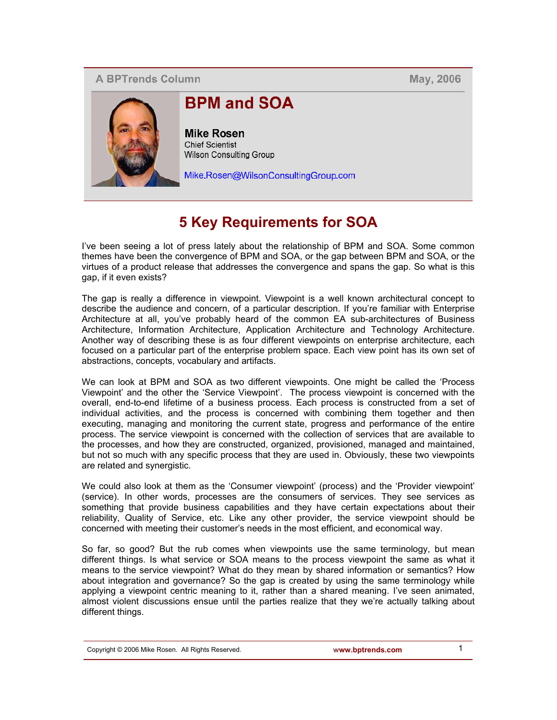## **A BPTrends Column**

**May, 2006** 



# **BPM and SOA**

**Mike Rosen** Chief Scientist **Wilson Consulting Group** 

Mike.Rosen@WilsonConsultingGroup.com

# **5 Key Requirements for SOA**

I've been seeing a lot of press lately about the relationship of BPM and SOA. Some common themes have been the convergence of BPM and SOA, or the gap between BPM and SOA, or the virtues of a product release that addresses the convergence and spans the gap. So what is this gap, if it even exists?

The gap is really a difference in viewpoint. Viewpoint is a well known architectural concept to describe the audience and concern, of a particular description. If you're familiar with Enterprise Architecture at all, you've probably heard of the common EA sub-architectures of Business Architecture, Information Architecture, Application Architecture and Technology Architecture. Another way of describing these is as four different viewpoints on enterprise architecture, each focused on a particular part of the enterprise problem space. Each view point has its own set of abstractions, concepts, vocabulary and artifacts.

We can look at BPM and SOA as two different viewpoints. One might be called the 'Process Viewpoint' and the other the 'Service Viewpoint'. The process viewpoint is concerned with the overall, end-to-end lifetime of a business process. Each process is constructed from a set of individual activities, and the process is concerned with combining them together and then executing, managing and monitoring the current state, progress and performance of the entire process. The service viewpoint is concerned with the collection of services that are available to the processes, and how they are constructed, organized, provisioned, managed and maintained, but not so much with any specific process that they are used in. Obviously, these two viewpoints are related and synergistic.

We could also look at them as the 'Consumer viewpoint' (process) and the 'Provider viewpoint' (service). In other words, processes are the consumers of services. They see services as something that provide business capabilities and they have certain expectations about their reliability, Quality of Service, etc. Like any other provider, the service viewpoint should be concerned with meeting their customer's needs in the most efficient, and economical way.

So far, so good? But the rub comes when viewpoints use the same terminology, but mean different things. Is what service or SOA means to the process viewpoint the same as what it means to the service viewpoint? What do they mean by shared information or semantics? How about integration and governance? So the gap is created by using the same terminology while applying a viewpoint centric meaning to it, rather than a shared meaning. I've seen animated, almost violent discussions ensue until the parties realize that they we're actually talking about different things.

Copyright © 2006 Mike Rosen. All Rights Reserved. **www.bptrends.com** 1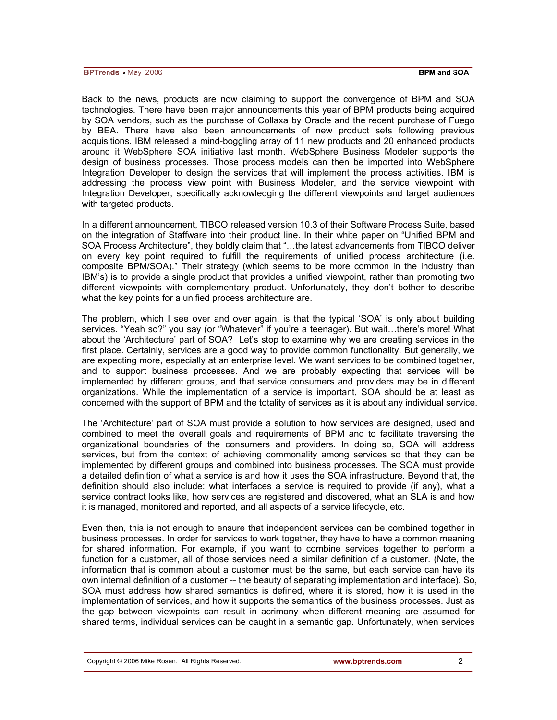Back to the news, products are now claiming to support the convergence of BPM and SOA technologies. There have been major announcements this year of BPM products being acquired by SOA vendors, such as the purchase of Collaxa by Oracle and the recent purchase of Fuego by BEA. There have also been announcements of new product sets following previous acquisitions. IBM released a mind-boggling array of 11 new products and 20 enhanced products around it WebSphere SOA initiative last month. WebSphere Business Modeler supports the design of business processes. Those process models can then be imported into WebSphere Integration Developer to design the services that will implement the process activities. IBM is addressing the process view point with Business Modeler, and the service viewpoint with Integration Developer, specifically acknowledging the different viewpoints and target audiences with targeted products.

In a different announcement, TIBCO released version 10.3 of their Software Process Suite, based on the integration of Staffware into their product line. In their white paper on "Unified BPM and SOA Process Architecture", they boldly claim that "…the latest advancements from TIBCO deliver on every key point required to fulfill the requirements of unified process architecture (i.e. composite BPM/SOA)." Their strategy (which seems to be more common in the industry than IBM's) is to provide a single product that provides a unified viewpoint, rather than promoting two different viewpoints with complementary product. Unfortunately, they don't bother to describe what the key points for a unified process architecture are.

The problem, which I see over and over again, is that the typical 'SOA' is only about building services. "Yeah so?" you say (or "Whatever" if you're a teenager). But wait…there's more! What about the 'Architecture' part of SOA? Let's stop to examine why we are creating services in the first place. Certainly, services are a good way to provide common functionality. But generally, we are expecting more, especially at an enterprise level. We want services to be combined together, and to support business processes. And we are probably expecting that services will be implemented by different groups, and that service consumers and providers may be in different organizations. While the implementation of a service is important, SOA should be at least as concerned with the support of BPM and the totality of services as it is about any individual service.

The 'Architecture' part of SOA must provide a solution to how services are designed, used and combined to meet the overall goals and requirements of BPM and to facilitate traversing the organizational boundaries of the consumers and providers. In doing so, SOA will address services, but from the context of achieving commonality among services so that they can be implemented by different groups and combined into business processes. The SOA must provide a detailed definition of what a service is and how it uses the SOA infrastructure. Beyond that, the definition should also include: what interfaces a service is required to provide (if any), what a service contract looks like, how services are registered and discovered, what an SLA is and how it is managed, monitored and reported, and all aspects of a service lifecycle, etc.

Even then, this is not enough to ensure that independent services can be combined together in business processes. In order for services to work together, they have to have a common meaning for shared information. For example, if you want to combine services together to perform a function for a customer, all of those services need a similar definition of a customer. (Note, the information that is common about a customer must be the same, but each service can have its own internal definition of a customer -- the beauty of separating implementation and interface). So, SOA must address how shared semantics is defined, where it is stored, how it is used in the implementation of services, and how it supports the semantics of the business processes. Just as the gap between viewpoints can result in acrimony when different meaning are assumed for shared terms, individual services can be caught in a semantic gap. Unfortunately, when services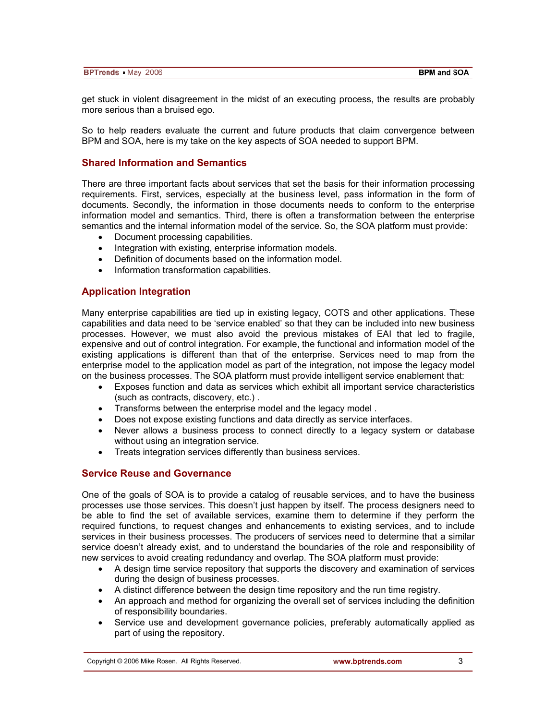| <b>BPTrends</b> May 2006 | <b>BPM and SOA</b> |
|--------------------------|--------------------|

get stuck in violent disagreement in the midst of an executing process, the results are probably more serious than a bruised ego.

So to help readers evaluate the current and future products that claim convergence between BPM and SOA, here is my take on the key aspects of SOA needed to support BPM.

### **Shared Information and Semantics**

There are three important facts about services that set the basis for their information processing requirements. First, services, especially at the business level, pass information in the form of documents. Secondly, the information in those documents needs to conform to the enterprise information model and semantics. Third, there is often a transformation between the enterprise semantics and the internal information model of the service. So, the SOA platform must provide:

- Document processing capabilities.
- Integration with existing, enterprise information models.
- Definition of documents based on the information model.
- Information transformation capabilities.

#### **Application Integration**

Many enterprise capabilities are tied up in existing legacy, COTS and other applications. These capabilities and data need to be 'service enabled' so that they can be included into new business processes. However, we must also avoid the previous mistakes of EAI that led to fragile, expensive and out of control integration. For example, the functional and information model of the existing applications is different than that of the enterprise. Services need to map from the enterprise model to the application model as part of the integration, not impose the legacy model on the business processes. The SOA platform must provide intelligent service enablement that:

- Exposes function and data as services which exhibit all important service characteristics (such as contracts, discovery, etc.) .
- Transforms between the enterprise model and the legacy model .
- Does not expose existing functions and data directly as service interfaces.
- Never allows a business process to connect directly to a legacy system or database without using an integration service.
- Treats integration services differently than business services.

### **Service Reuse and Governance**

One of the goals of SOA is to provide a catalog of reusable services, and to have the business processes use those services. This doesn't just happen by itself. The process designers need to be able to find the set of available services, examine them to determine if they perform the required functions, to request changes and enhancements to existing services, and to include services in their business processes. The producers of services need to determine that a similar service doesn't already exist, and to understand the boundaries of the role and responsibility of new services to avoid creating redundancy and overlap. The SOA platform must provide:

- A design time service repository that supports the discovery and examination of services during the design of business processes.
- A distinct difference between the design time repository and the run time registry.
- An approach and method for organizing the overall set of services including the definition of responsibility boundaries.
- Service use and development governance policies, preferably automatically applied as part of using the repository.